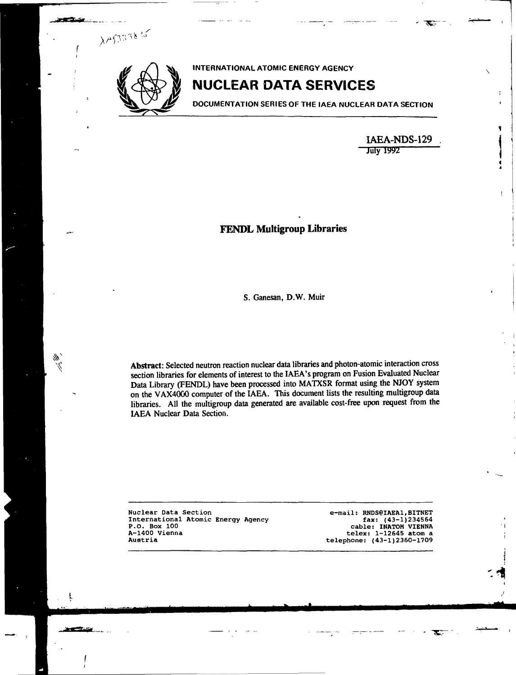

 $\lambda$ AS33835

M N, **INTERNATIONAL ATOMIC ENERGY AGENCY**

# **NUCLEAR DATA SERVICES**

**DOCUMENTATION SERIESOF THE IAEA NUCLEAR DATA SECTION**

**IAEA-NDS-129 July 1992**

÷

## **FENDL Multigroup Libraries**

S. Ganesan, **D.**W. Muir

**Abstract:** Selected neutron reaction nuclear data libraries and photon-atomic interaction cross section libraries for elements of interest to the IAEA's program on Fusion Evaluated Nuclear Data Library (FENDL) have been processed into MATXSR format using the NJOY system on the VAX4000 computer of the IAEA. This document lists the resulting multigroup data libraries. All the multigroup data generated are available cost-free upon request from the IAEA Nuclear Data Section.

**Nuclear Data Section International Atomic Energy Agency P.O. Box 100 A-1400 Vienna Austria**

**e-mail: RNDS@IAEA1,BITNET fax: (43-1)234564 cable: INATOM VIENNA telex: 1-12645 atom a telephone: (43-1)2360-1709**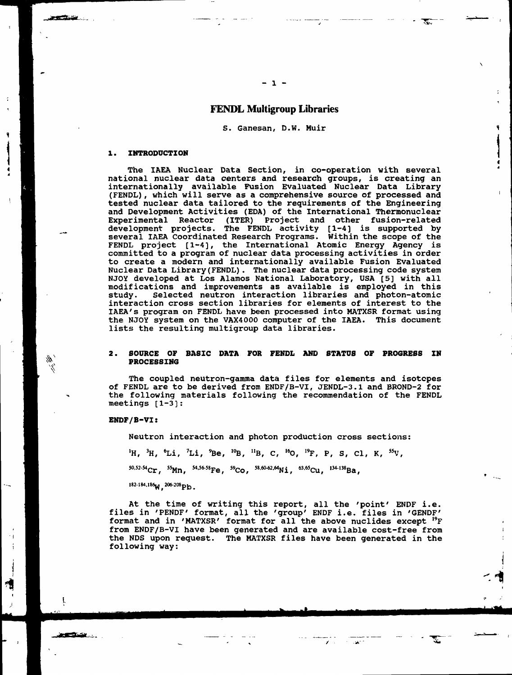## **FENDL Multigroup Libraries**

S. Ganesan, D.W. Huir

#### **1. INTRODUCTION**

ان کا ایک میرون

The IAEA Nuclear Data Section, in co-operation with several national nuclear data centers and research groups, is creating an internationally available Fusion Evaluated Nuclear Data Library (FENDL), which will serve as a comprehensive source of processed and tested nuclear data tailored to the requirements of the Engineering and Development Activities (EDA) of the International Thermonuclear Experimental Reactor (ITER) Project and other fusion-related development projects. The FENDL activity [1-4] is supported by several IAEA Coordinated Research Programs. Within the scope of the FENDL project [1-4], the International Atomic Energy Agency is committed to a program of nuclear data processing activities in order to create a modern and internationally available Fusion Evaluated Nuclear Data Library (FENDL) . The nuclear data processing code system NJOY developed at Los Alamos National Laboratory, USA [5] with all modifications and improvements as available is employed in this study. Selected neutron interaction libraries and photon-atomic interaction cross section libraries for elements of interest to the IAEA's program on FENDL have been processed into HATXSR format using the NJOY system on the VAX4000 computer of the IAEA. This document lists the resulting multigroup data libraries.

#### **2. SOURCE OF BASIC DATA FOR FENDL AND STATUS OF PROGRESS IN PROCESSING**

The coupled neutron-gamma data files for elements and isotopes of FENDL are to be derived from ENDF/B-VI, JENDL-3.1 and BROND-2 for the following materials following the recommendation of the FENDL meetings  $[1-3]$ :

#### **ENDF/B-VI:**

<u>in gefinist i v</u>

**Neutron interactio n and photon production cross sections:**

**<sup>1</sup>H, <sup>3</sup>H, <sup>6</sup>Li, <sup>7</sup>Li, <sup>9</sup>Be, <sup>10</sup>B, <sup>11</sup>B, C, <sup>16</sup>O, <sup>19</sup>F, P, S, Cl, K, <sup>55</sup>V,**

**<sup>505254</sup>Cr, <sup>55</sup>Mn, <sup>54</sup> ^Fe , <sup>59</sup>Co, <sup>58</sup> ^«Ni, <sup>6365</sup>Cu, l34-'<sup>38</sup>Ba,**

182-184.186<sub>W</sub> 206-208<sub>Pb</sub>.

At the time of writing this report, all the 'point' ENDF i.e. files in 'PENDF' format, all the 'group' ENDF i.e. files in 'GENDF' format and in 'MATXSR' format for all the above nuclides except <sup>19</sup>F from ENDF/B-VI have been generated and are available cost-free from the NDS upon request. The HATXSR files have been generated in the following way: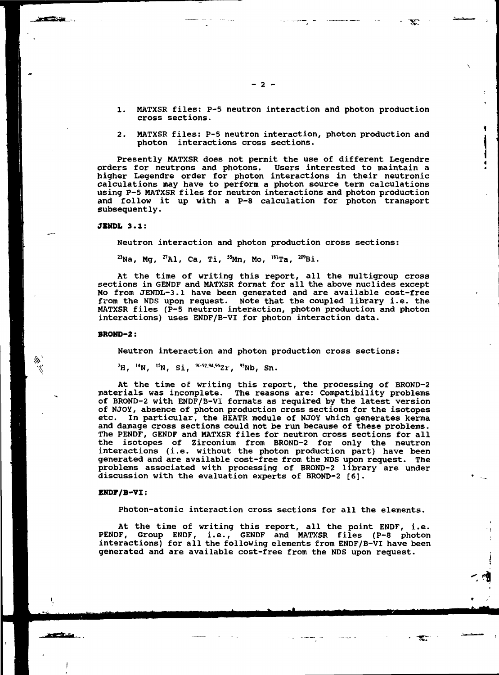- 1. MATXSR files: P-5 neutron interaction and photon production cross sections.
- 2. MATXSR files: P-5 neutron interaction, photon production and photon interactions cross sections.

Presently MATXSR does not permit the use of different Legendre orders for neutrons and photons. Users interested to maintain a higher Legendre order for photon interactions in their neutronic calculations may have to perform a photon source term calculations using P-5 MATXSR files for neutron interactions and photon production and follow it up with a P-8 calculation for photon transport subsequently.

#### **JEHDL 3.1:**

 $\sim$ 

Neutron interaction and photon production cross sections:

 $^{23}$ Na, Mg,  $^{27}$ Al, Ca, Ti,  $^{55}$ Mn, Mo,  $^{181}$ Ta,  $^{209}$ Bi

At the time of writing this report, all the multigroup cross sections in GENDF and MATXSR format for all the above nuclides except Mo from JENDL-3.1 have been generated and are available cost-free from the NDS upon request. Note that the coupled library i.e. the MATXSR files (P-5 neutron interaction, photon production and photon interactions) uses ENDF/B-VI for photon interaction data.

#### **BROND-2**:

Neutron interaction and photon production cross sections:

 $^{2}$ H,  $^{14}$ N,  $^{15}$ N, Si,  $^{90-92,94,96}$ Zr,  $^{93}$ Nb, Sn

At the time of writing this report, the processing of BROND-2 materials was incomplete. The reasons are: Compatibility problems of BROND-2 with ENDF/B-VI formats as required by the latest version of NJOY, absence of photon production cross sections for the isotopes etc. In particular, the HEATR module of NJOY which generates kerma and damage cross sections could not be run because of these problems. The PENDF, GENDF and MATXSR files for neutron cross sections for all the isotopes of Zirconium from BROND-2 for only the neutron interactions (i.e. without the photon production part) have been generated and are available cost-free from the NDS upon request. The problems associated with processing of BROND-2 library are under discussion with the evaluation experts of BROND-2 [6].

#### **ENDF/B-VI**:

-1.

<u>e general de la p</u>

Photon-atomic interaction cross sections for all the elements.

 $\mathcal{L}$  .

At the time of writing this report, all the point ENDF, i.e. PENDF, Group ENDF, i.e., GENDF and MATXSR files (P-8 photon interactions) for all the following elements from ENDF/B-VI have been generated and are available cost-free from the NDS upon request.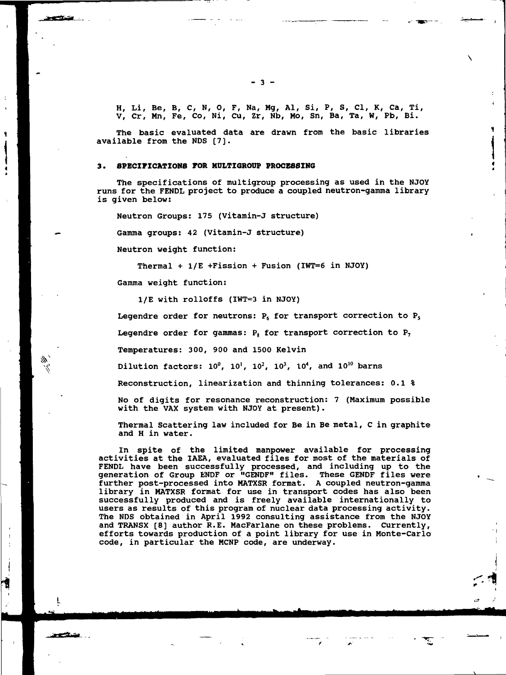H, Li, Be, B, C, N, O, F, Na, Mg, Al, Si, P, S, Cl, K, Ca, Ti, V, Cr, Mn, Fe, Co, Ni, Cu, Zr, Nb, Mo, Sn, Ba, Ta, W, Pb, Bi.

The basic evaluated data are drawn from the basic libraries available from the NDS [7].

#### **3. SPECIFICATIONS FOR MDLTIGROOP PROCESSING**

The specifications of multigroup processing as used in the NJOY runs for the FENDL project to produce a coupled neutron-gamma library is given below:

Neutron Groups: 175 (Vitamin-J structure)

Gamma groups: 42 (Vitamin-J structure)

Neutron weight function:

<u>e erritmente</u>

M

1

ستمتصع

Thermal + 1/E +Fission + Fusion (IWT=6 in NJOY)

Gamma weight function:

1/E with rolloffs (IWT=3 in NJOY)

Legendre order for neutrons:  $P_6$  for transport correction to  $P_5$ 

Legendre order for gammas:  $P_8$  for transport correction to  $P_7$ 

Temperatures: 300, 900 and 1500 Kelvin

Dilution factors:  $10^0$ ,  $10^1$ ,  $10^2$ ,  $10^3$ ,  $10^4$ , and  $10^{10}$  barns

Reconstruction, linearization and thinning tolerances: 0.1 %

No of digits for resonance reconstruction: 7 (Maximum possible with the VAX system with NJOY at present) .

Thermal Scattering law included for Be in Be metal, C in graphite and H in water.

In spite of the limited manpower available for processing activities at the IAEA, evaluated files for most of the materials of FENDL have been successfully processed, and including up to the generation of Group ENDF or "GENDF" files. These GENDF files were further post-processed into MATXSR format. A coupled neutron-gamma library in MATXSR format for use in transport codes has also been successfully produced and is freely available internationally to users as results of this program of nuclear data processing activity. The NDS obtained in April 1992 consulting assistance from the NJOY and TRANSX [8] author R.E. MacFarlane on these problems. Currently, efforts towards production of a point library for use in Monte-Carlo code, in particular the MCNP code, are underway.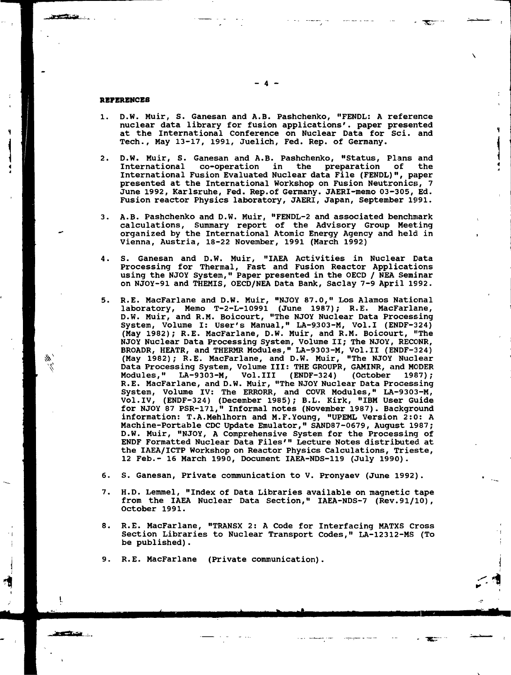#### **REFERENCES**

 $\frac{1}{2}$ 

₩.

فتنكف

- 1. D.W. Muir, S. Ganesan and A.B. Pashchenko, "FENDL: A reference nuclear data library for fusion applications', paper presented at the International Conference on Nuclear Data for Sci. and Tech., May 13-17, 1991, Juelich, Fed. Rep. of Germany.
- 2. D.W. Muir, S. Ganesan and A.B. Pashchenko, "Status, Plans and co-operation in the preparation of the International Fusion Evaluated Nuclear data File (FENDL)", paper presented at the International Workshop on Fusion Neutronics;, 7 June 1992, Karlsruhe, Fed. Rep.of Germany. JAERI-memo 03-305, Ed. Fusion reactor Physics laboratory, JAERI, Japan, September 1991.
- 3. A.B. Pashchenko and D.W. Muir, "FENDL-2 and associated benchmark calculations, Summary report of the Advisory Group Meeting organized by the International Atomic Energy Agency and held in Vienna, Austria, 18-22 November, 1991 (March 1992)
- 4. S. Ganesan and D.W. Muir, "IAEA Activities in Nuclear Data Processing for Thermal, Fast and Fusion Reactor Applications using the NJOY System," Paper presented in the OECD / NEA Seminar on NJOY-91 and THEMIS, OECD/NEA Data Bank, Saclay 7-9 April 1992.
- 5. R.E. MacFarlane and D.W. Muir, "NJOY 87.0," Los Alamos National laboratory, Memo T-2-L-10991 (June 1987); R.E. MacFarlane, D.W. Muir, and R.M. Boicourt, "The NJOY Nuclear Data Processing System, Volume I: User's Manual," LA-9303-M, Vol.1 (ENDF-324) (May 1982); R.E. MacFarlane, D.W. Muir, and R.M. Boicourt, "The NJOY Nuclear Data Processing System, Volume II; The NJOY, RECONR, BROADR, HEATR, and THERMR Modules," LA-9303-M, Vol.11 (ENDF-324) (May 1982); R.E. MacFarlane, and D.W. Muir, "The NJOY Nuclear Data Processing System, Volume III: THE GROUPR, GAMINR, and MODER Modules," LA-9303-M, Vol.Ill (ENDF-324) (October 1987); R.E. MacFarlane, and D.W. Muir, "The NJOY Nuclear Data Processing System, Volume IV: The ERRORR, and COVR Modules," LA-9303-M, Vol.IV, (ENDF-324) (December 1985); B.L. Kirk, "IBM User Guide for NJOY 87 PSR-171," Informal notes (November 1987). Background information: T.A.Mehlhorn and M.F.Young, "UPEML Version 2:0: A Machine-Portable CDC Update Emulator," SAND87-0679, August 1987; D.W. Muir, "NJOY, A Comprehensive System for the Processing of ENDF Formatted Nuclear Data Files'" Lecture Notes distributed at the IAEA/ICTP Workshop on Reactor Physics Calculations, Trieste, 12 Feb.- 16 March 1990, Document IAEA-NDS-119 (July 1990).
- 6. S. Ganesan, Private communication to V. Pronyaev (June 1992).
- 7. H.D. Lemmel, "Index of Data Libraries available on magnetic tape from the IAEA Nuclear Data Section," IAEA-NDS-7 (Rev.91/10), October 1991.
- 8. R.E. MacFarlane, "TRANSX 2: A Code for Interfacing MATXS Cross Section Libraries to Nuclear Transport Codes," LA-12312-MS (To be published) .

9. R.E. MacFarlane (Private communication).

**- 4 -**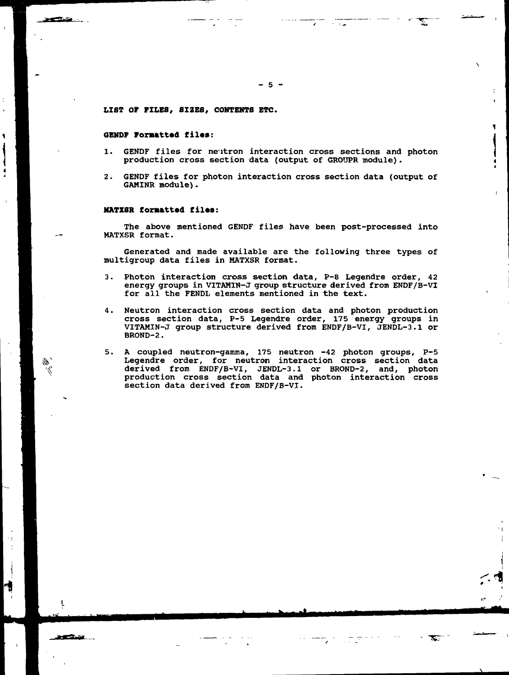#### **LIST OF FILES, SIZES, CONTENTS ETC.**

#### **GENDF Formatted files:**

- 1. GENDF files for neutron interaction cross sections and photon production cross section data (output of GROUPR module).
- 2. GENDF files for photon interaction cross section data (output of GAMINR module).

#### **MATXSR formatted files:**

The above mentioned GENDF files have been post-processed into MATXSR format.

Generated and made available are the following three types of multigroup data files in MATXSR format.

- 3. Photon interaction cross section data, P-8 Legendre order, 42 energy groups in VITAMIN-J group structure derived from ENDF/B-VI for all the FENDL elements mentioned in the text.
- 4. Neutron interaction cross section data and photon production cross section data, P-5 Legendre order, 175 energy groups in VITAMIN-J group structure derived from ENDF/B-VI, JENDL-3.1 or BROND-2.
- 5. A coupled neutron-gamma, 175 neutron -42 photon groups, P-5 Legendre order, for neutron interaction cross section data derived from ENDF/B-VI, JENDL-3.1 or BROND-2, and, photon production cross section data and photon interaction cross section data derived from ENDF/B-VI.

"TET

 $\alpha$  is a single  $\alpha$ 

 $\sqrt{1 + \frac{1}{2}}$ 

ت کی

th,

المتكار والسبهان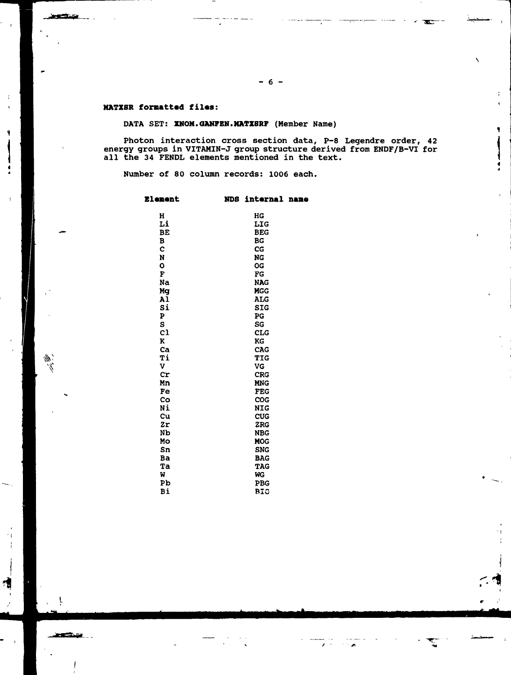### **NATZSR formatted filas:**

<u>Service</u>

 $\frac{d\vec{r}}{dt}$ 

ľ

**STATISTICS** 

## DATA SET: **ZMOM.GAMFBN.MXTZSRF** (Member Name)

 $\frac{1}{2}$  and  $\frac{1}{2}$ 

Photon interaction cross section data, P-8 Legendre order, 42 energy groups in VITAMIN-J group structure derived from ENDF/B-VI for all the 34 FENDL elements mentioned in the text.

72

 $\sim$   $\,$   $\,$ 

**r-1**

Number of 80 column records: 1006 each.

| <b>Element</b>       | <b>NDS</b> | internal name            |  |
|----------------------|------------|--------------------------|--|
| H                    |            | HG                       |  |
| Li                   |            | LIG                      |  |
| BE                   |            | <b>BEG</b>               |  |
| B                    |            | BG                       |  |
| Ċ                    |            | $_{\rm CG}$              |  |
| N                    |            | NG                       |  |
| O                    |            | <b>OG</b>                |  |
| F                    |            | ΓG                       |  |
| Na                   |            | <b>NAG</b>               |  |
| Mg                   |            | <b>MGG</b>               |  |
| A1                   |            | <b>ALG</b>               |  |
| Si                   |            | <b>SIG</b>               |  |
| P                    |            | PG                       |  |
| S                    |            | SG                       |  |
| c1                   |            | <b>CLG</b>               |  |
| ĸ                    |            | KG                       |  |
| Ca                   |            | CAG                      |  |
| Ti                   |            | <b>TIG</b>               |  |
| v                    |            | VG                       |  |
| Cr                   |            | <b>CRG</b>               |  |
| Mn                   |            | <b>MNG</b>               |  |
| Fe                   |            | <b>FEG</b>               |  |
| Co                   |            | COG                      |  |
| Ni                   |            | <b>NIG</b>               |  |
| Cu                   |            | <b>CUG</b>               |  |
| Zr<br>N <sub>b</sub> |            | <b>ZRG</b>               |  |
| Mo                   |            | <b>NBG</b>               |  |
| Sn                   |            | <b>MOG</b><br><b>SNG</b> |  |
| Ba                   |            | <b>BAG</b>               |  |
| Ta                   |            | <b>TAG</b>               |  |
| M                    |            | WG                       |  |
| Pb                   |            | <b>PBG</b>               |  |
| Bi                   |            | <b>BIG</b>               |  |
|                      |            |                          |  |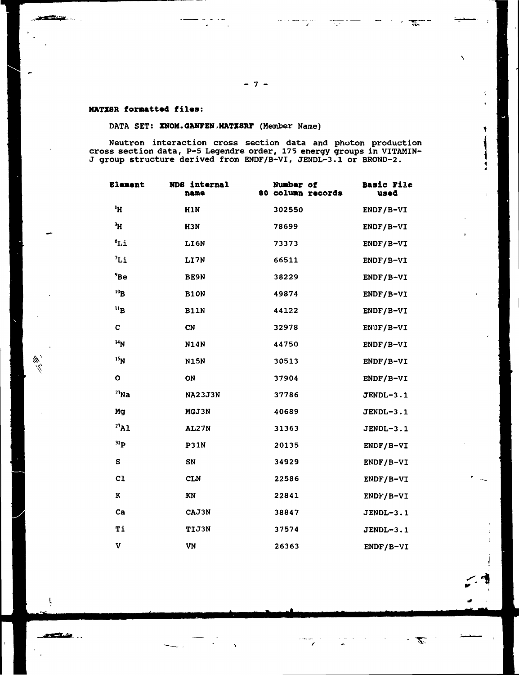$\mathcal{L}$ 

÷

٩

 $\phi$  ,  $\phi$  , and

┈

mper<br>Signal

### **MATXSR formatted files:**

<u> Martin Barbara (</u>

## DATA SET: **XNOM.GANFBN,MATXSRF** (Member Name)

a ang kalendar.<br>Tanggunian

Neutron interaction cross section data and photon production cross section data, P-5 Legendre order, 175 energy groups in VITAMIN-J group structure derived from ENDF/B-VI, JENDL-3.1 or BROND-2.

| <b>Elenent</b>      | NDS internal<br>name | Number of<br>80 column records | <b>Basic File</b><br>used |
|---------------------|----------------------|--------------------------------|---------------------------|
| <sup>1</sup> H      | H <sub>1</sub> N     | 302550                         | ENDF/B-VI                 |
| $\mathbf{H}^{\ell}$ | H3N                  | 78699                          | ENDF/B-VI                 |
| $^6L1^6$            | LI6N                 | 73373                          | ENDF/B-VI                 |
| 7i                  | LI7N                 | 66511                          | ENDF/B-VI                 |
| 9B <sub>e</sub>     | <b>BE9N</b>          | 38229                          | ENDF/B-VI                 |
| 10B                 | <b>B10N</b>          | 49874                          | ENDF/B-VI                 |
| "B"                 | <b>B11N</b>          | 44122                          | $ENDF/B-VI$               |
| C                   | <b>CN</b>            | 32978                          | ENOF/B-VI                 |
| 14 <sub>N</sub>     | <b>N14N</b>          | 44750                          | ENDF/B-VI                 |
| 15 <sub>N</sub>     | <b>N15N</b>          | 30513                          | ENDF/B-VI                 |
| $\mathbf o$         | ON                   | 37904                          | ENDF/B-VI                 |
| $^{23}$ Na          | <b>NA23J3N</b>       | 37786                          | <b>JENDL-3.1</b>          |
| Mg                  | MGJ3N                | 40689                          | JENDL-3.1                 |
| $^{27}$ Al          | <b>AL27N</b>         | 31363                          | JENDL-3.1                 |
| $\mathbf{H}$        | <b>P31N</b>          | 20135                          | ENDF/B-VI                 |
| S                   | SN                   | 34929                          | ENDF/B-VI                 |
| C <sub>1</sub>      | <b>CLN</b>           | 22586                          | ENDF/B-VI                 |
| K                   | KN                   | 22841                          | ENDF/B-VI                 |
| ca                  | CAJ3N                | 38847                          | JENDL-3.1                 |
| Ti                  | <b>TIJ3N</b>         | 37574                          | $JENDL-3.1$               |
| v                   | VN                   | 26363                          | $ENDF/B-VI$               |

ţ

 $\frac{d\vec{k}}{dt'}$ 

<u>an Chair .</u>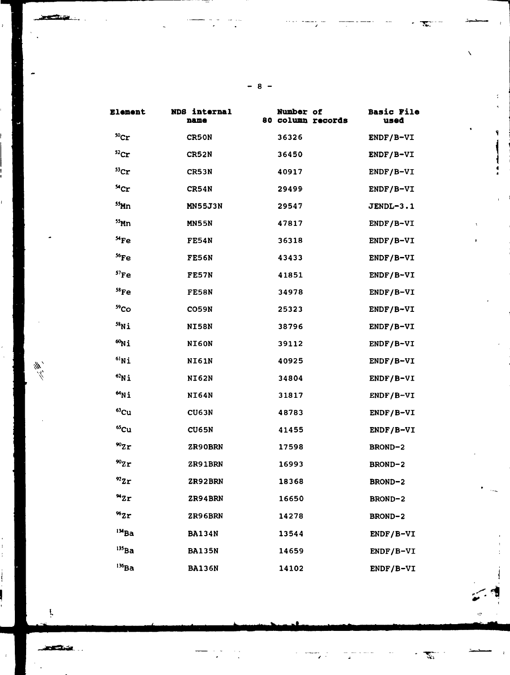| Element              | NDS internal<br>name | Number of<br>80 column records | <b>Basic File</b><br>used |
|----------------------|----------------------|--------------------------------|---------------------------|
| $^{50}$ Cr           | <b>CR50N</b>         | 36326                          | ENDF/B-VI                 |
| $^{52}$ Cr           | <b>CR52N</b>         | 36450                          | ENDF/B-VI                 |
| ${}^{53}$ Cr         | CR53N                | 40917                          | ENDF/B-VI                 |
| <sup>54</sup> Cr     | CR54N                | 29499                          | ENDF/B-VI                 |
| $55$ Mn              | <b>MN55J3N</b>       | 29547                          | JENDL-3.1                 |
| $55$ Mn              | <b>MN55N</b>         | 47817                          | $ENDF/B-VI$               |
| ${}^{54}Fe$          | <b>FE54N</b>         | 36318                          | ENDF/B-VI                 |
| $56$ Fe              | <b>FE56N</b>         | 43433                          | ENDF/B-VI                 |
| $57$ Fe              | <b>FE57N</b>         | 41851                          | ENDF/B-VI                 |
| $58$ Fe              | <b>FE58N</b>         | 34978                          | ENDF/B-VI                 |
| 59 <sub>Co</sub>     | <b>CO59N</b>         | 25323                          | ENDF/B-VI                 |
| $58$ Ni              | <b>NI58N</b>         | 38796                          | $ENDF/B-VI$               |
| $^{60}$ Ni           | NI60N                | 39112                          | ENDF/B-VI                 |
| $^{61}$ Ni           | NI61N                | 40925                          | ENDF/B-VI                 |
| $^{62}$ Ni           | <b>NI62N</b>         | 34804                          | $ENDF/B-VI$               |
| $M_{\rm Ni}$         | <b>NI64N</b>         | 31817                          | $ENDF/B-VI$               |
| $63$ Cu              | CU63N                | 48783                          | ENDF/B-VI                 |
| 65cu                 | <b>CU65N</b>         | 41455                          | ENDF/B-VI                 |
| $^{90}$ Zr           | ZR90BRN              | 17598                          | <b>BROND-2</b>            |
| $^{90}Zr$            | <b>ZR91BRN</b>       | 16993                          | <b>BROND-2</b>            |
| $^{92}$ Zr           | <b>ZR92BRN</b>       | 18368                          | BROND-2                   |
| $^{\prime\prime}$ Zr | ZR94BRN              | 16650                          | BROND-2                   |
| "2r                  | ZR96BRN              | 14278                          | BROND-2                   |
| $134$ Ba             | <b>BA134N</b>        | 13544                          | $ENDF/B-VI$               |
| $^{135}$ Ba          | <b>BA135N</b>        | 14659                          | ENDF/B-VI                 |
| $136$ Ba             | <b>BA136N</b>        | 14102                          | $ENDF/B-VI$               |

**- 8 -**

Ļ

**STANDARD STANDARD STANDARD STANDARD STANDARD STANDARD STANDARD STANDARD STANDARD STANDARD STANDARD STANDARD ST** 

 $\frac{d\vec{r}}{dt}$ 

Ľ,

T

۹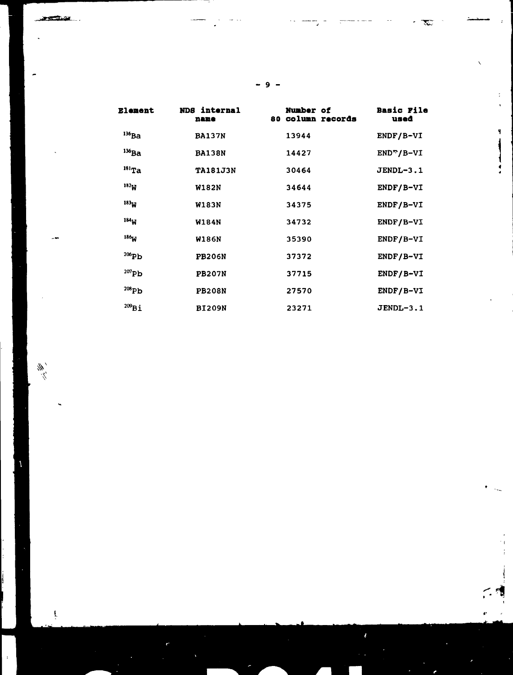| ٠ |
|---|
|---|

÷

Ÿ

 $\mathfrak{f}$ 

ŗ

ï

| <b>Element</b>   | NDS internal<br>name | <b>Number of</b><br>80 Column records | <b>Basic File</b><br>used |
|------------------|----------------------|---------------------------------------|---------------------------|
| $^{136}$ Ba      | <b>BA137N</b>        | 13944                                 | ENDF/B-VI                 |
| $^{136}$ Ba      | <b>BA138N</b>        | 14427                                 | $ENDn/B-VI$               |
| $^{181}$ Ta      | <b>TA181J3N</b>      | 30464                                 | JENDL-3.1                 |
| 182 <sub>W</sub> | <b>W182N</b>         | 34644                                 | $ENDF/B-VI$               |
| $183_{13}$       | <b>W183N</b>         | 34375                                 | ENDF/B-VI                 |
| 184 <sub>W</sub> | <b>W184N</b>         | 34732                                 | ENDF/B-VI                 |
| 186 <sub>M</sub> | <b>W186N</b>         | 35390                                 | $ENDF/B-VI$               |
| $206$ Pb         | <b>PB206N</b>        | 37372                                 | $ENDF/B-VI$               |
| $^{207}$ Pb      | <b>PB207N</b>        | 37715                                 | $ENDF/B-VI$               |
| $^{208}$ Ph      | <b>PB208N</b>        | 27570                                 | ENDF/B-VI                 |
| $^{209}Bi$       | <b>BI209N</b>        | 23271                                 | JENDL-3.1                 |

**- 9 -**

 $\frac{\partial f}{\partial \vec{r}}$ 

 $\mathcal{L}$ 

 $\cdot$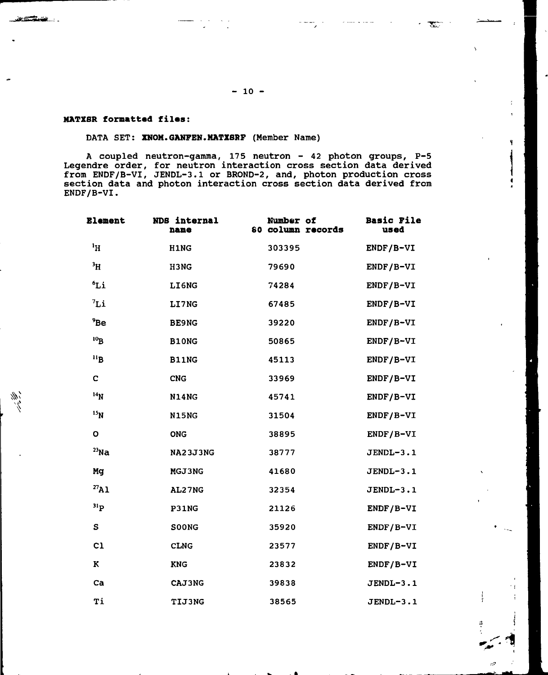#### **MATZSR formatted filas:**

**1**

**STANE** ...

#### DATA SET: **XNON.GANFEN.MATXSRF** (Member Name)

A coupled neutron-gamma, 175 neutron - 42 photon groups, P-5 Legendre order, for neutron interaction cross section data derived from ENDF/B-VI, JENDL-3.1 or BROND-2, and, photon production cross section data and photon interaction cross section data derived from ENDF/B-VI.

| <b>Element</b>  | NDS internal<br>name | Number of<br>80 column records | <b>Basic File</b><br>used |
|-----------------|----------------------|--------------------------------|---------------------------|
| H <sup>1</sup>  | H1NG                 | 303395                         | $ENDF/B-VI$               |
| $\rm ^3H$       | H3NG                 | 79690                          | $ENDF/B-VI$               |
| 6L1             | LI6NG                | 74284                          | ENDF/B-VI                 |
| 7i              | LI7NG                | 67485                          | $ENDF/B-VI$               |
| 9Be             | <b>BE9NG</b>         | 39220                          | $ENDF/B-VI$               |
| $^{10}B$        | B10NG                | 50865                          | ENDF/B-VI                 |
| 11B             | <b>B11NG</b>         | 45113                          | ENDF/B-VI                 |
| C               | <b>CNG</b>           | 33969                          | ENDF/B-VI                 |
| 14 <sub>N</sub> | <b>N14NG</b>         | 45741                          | ENDF/B-VI                 |
| 15 <sub>N</sub> | <b>N15NG</b>         | 31504                          | ENDF/B-VI                 |
| $\circ$         | <b>ONG</b>           | 38895                          | $ENDF/B-VI$               |
| $^{23}$ Na      | <b>NA23J3NG</b>      | 38777                          | JENDL-3.1                 |
| Mg              | MGJ3NG               | 41680                          | JENDL-3.1                 |
| $^{27}$ A1      | AL27NG               | 32354                          | JENDL-3.1                 |
| $^{31}P$        | P31NG                | 21126                          | ENDF/B-VI                 |
| S               | <b>SOONG</b>         | 35920                          | ENDF/B-VI                 |
| C1              | <b>CLNG</b>          | 23577                          | ENDF/B-VI                 |
| K               | <b>KNG</b>           | 23832                          | ENDF/B-VI                 |
| Ca              | <b>CAJ3NG</b>        | 39838                          | JENDL-3.1                 |
| Ti              | <b>TIJ3NG</b>        | 38565                          | JENDL-3.1                 |

**- 10 -**

E.

4.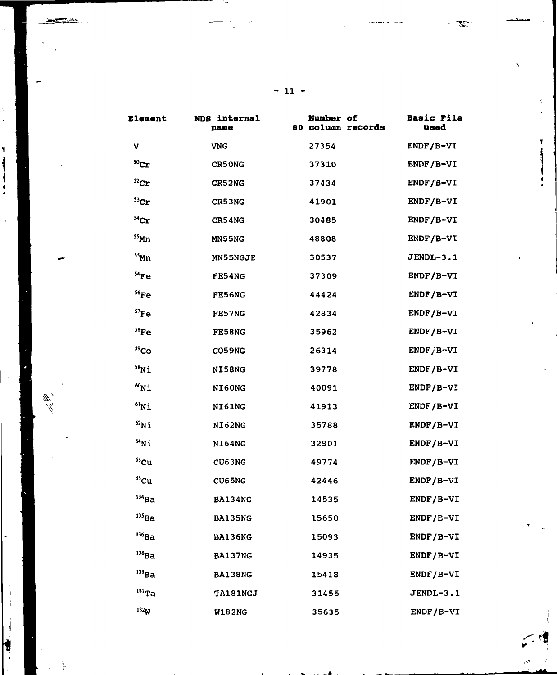| <b>77.</b> |  |  |
|------------|--|--|
| - 1        |  |  |

 $\bar{A}$ 

 $\frac{1}{\pi}$ 

 $\overline{\mathbf{y}}$ ļ

 $\frac{1}{4}$ 

 $\frac{d\vec{r}}{dt},$ 

 $\mathfrak{t}$  $\mathfrak{f}$ 

 $\frac{1}{2}$ 

**N** 

f,

9

| <b>Element</b>   | NDS internal<br>name | Number of<br>80 column records | <b>Basic Fila</b><br>used |
|------------------|----------------------|--------------------------------|---------------------------|
| v                | <b>VNG</b>           | 27354                          | ENDF/B-VI                 |
| 50 <sub>cr</sub> | <b>CR50NG</b>        | <b>37310</b>                   | ENDF/B-VI                 |
| ${}^{52}$ Cr     | CR52NG               | 37434                          | $ENDF/B-VI$               |
| $53$ Cr          | CR53NG               | 41901                          | ENDF/B-VI                 |
| ${}^{54}$ Cr     | CR54NG               | 30485                          | ENDF/B-VI                 |
| $55$ Mn          | MN55NG               | 48808                          | $ENDF/B-VI$               |
| $55$ Mn          | <b>MN55NGJE</b>      | 30537                          | JENDL-3.1                 |
| ${}^{54}Fe$      | FE54NG               | 37309                          | $ENDF/B-VI$               |
| $56$ Fe          | <b>FE56NC</b>        | 44424                          | ENDF/B-VI                 |
| $57$ Fe          | FE57NG               | 42834                          | ENDF/B-VI                 |
| $58$ Fe          | FE58NG               | 35962                          | $ENDF/B-VI$               |
| 59 <sub>Co</sub> | <b>CO59NG</b>        | 26314                          | $ENDF/B=VI$               |
| $58$ Ni          | NI58NG               | 39778                          | ENDF/B-VI                 |
| $^{60}$ Ni       | NI60NG               | 40091                          | $ENDF/B-VI$               |
| $^{61}$ Ni       | NI61NG               | 41913                          | ENDF/B-VI                 |
| $^{62}$ Ni       | NI <sub>62</sub> NG  | 35788                          | $ENDF/B-VI$               |
| $^{64}$ Ni       | NI64NG               | 32801                          | $ENDF/B-VI$               |
| $^{63}$ Cu       | CU63NG               | 49774                          | $ENDF/B-VI$               |
| ${}^{65}Cu$      | CU65NG               | 42446                          | ENDF/B-VI                 |
| $134$ Ba         | <b>BA134NG</b>       | 14535                          | ENDF/B-VI                 |
| $^{135}$ Ba      | <b>BA135NG</b>       | 15650                          | $ENDF/E-VI$               |
| $^{136}$ Ba      | <b>BA136NG</b>       | 15093                          | ENDF/B-VI                 |
| $136$ Ba         | BA137NG              | 14935                          | $ENDF/B-VI$               |
| $^{138}$ Ba      | <b>BA138NG</b>       | 15418                          | $ENDF/B-VI$               |
| $181$ Ta         | <b>TA181NGJ</b>      | 31455                          | JENDL-3.1                 |
| 182 <sub>M</sub> | <b>W182NG</b>        | 35635                          | ENDF/B-VI                 |

**- 11 -**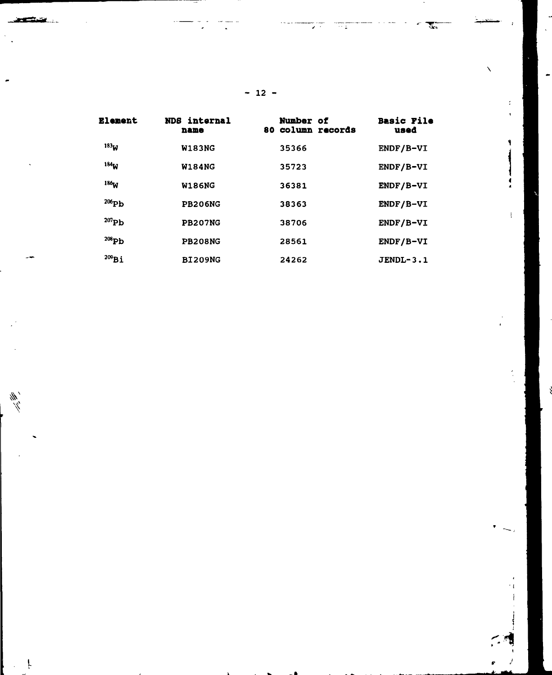| <b>Element</b>   | NDS internal<br>name | <b>Number of</b><br>80 column records | <b>Basic File</b><br>used |
|------------------|----------------------|---------------------------------------|---------------------------|
| 183 <sub>W</sub> | <b>W183NG</b>        | 35366                                 | ENDF/B-VI                 |
| 184 <sub>W</sub> | <b>W184NG</b>        | 35723                                 | ENDF/B-VI                 |
| 186 <sub>M</sub> | <b>W186NG</b>        | 36381                                 | ENDF/B-VI                 |
| $^{206}Pb$       | <b>PB206NG</b>       | 38363                                 | ENDF/B-VI                 |
| $^{207}Pb$       | <b>PB207NG</b>       | 38706                                 | ENDF/B-VI                 |
| $^{208}Pb$       | <b>PB208NG</b>       | 28561                                 | $ENDF/B-VI$               |
| $^{209}Bi$       | <b>BI209NG</b>       | 24262                                 | JENDL-3.1                 |

**- 12 -**

Ţ

 $\mathbb{Z}^{\pi}_{\ast}$ 

**Second** 

 $\frac{m}{m}$ 

₹.

 $\tilde{I}$ 

۹

 $\bar{1}$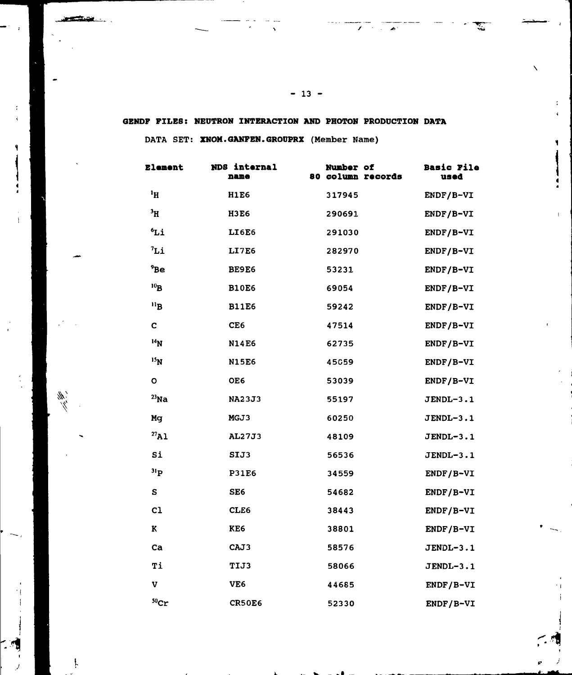**GENDF FILES: NEOTRON INTERACTION AND PHOTON PRODUCTION DATA**

**DATA** SET: **XNOM.GANFEN.GROUPRX** (Member Name)

<u>يندرون ويومين</u>

 $\frac{d}{dt}$ 

Ļ

| <b>Element</b>   | NDS internal<br>name | Number of<br>80 column records | <b>Basic File</b><br>used |
|------------------|----------------------|--------------------------------|---------------------------|
| $\mathbf{H}^1$   | <b>H1E6</b>          | 317945                         | ENDF/B-VI                 |
| $\rm{^3H}$       | <b>H3E6</b>          | 290691                         | ENDF/B-VI                 |
| °Li              | LI6E6                | 291030                         | ENDF/B-VI                 |
| 7i               | LI7E6                | 282970                         | ENDF/B-VI                 |
| 9Be              | BE9E6                | 53231                          | ENDF/B-VI                 |
| 10 <sub>B</sub>  | <b>B10E6</b>         | 69054                          | ENDF/B-VI                 |
| $n_{\rm B}$      | <b>B11E6</b>         | 59242                          | ENDF/B-VI                 |
| C                | CE <sub>6</sub>      | 47514                          | ENDF/B-VI                 |
| 14 <sub>N</sub>  | <b>N14E6</b>         | 62735                          | ENDF/B-VI                 |
| 15 <sub>N</sub>  | <b>N15E6</b>         | 45059                          | ENDF/B-VI                 |
| O                | OE6                  | 53039                          | ENDF/B-VI                 |
| $^{23}$ Na       | <b>NA23J3</b>        | 55197                          | JENDL-3.1                 |
| Mq               | MGJ3                 | 60250                          | JENDL-3.1                 |
| $^{27}$ Al       | AL27J3               | 48109                          | <b>JENDL-3.1</b>          |
| Si               | SIJ3                 | 56536                          | JENDL-3.1                 |
| 31 <sub>P</sub>  | <b>P31E6</b>         | 34559                          | ENDF/B-VI                 |
| S                | SE <sub>6</sub>      | 54682                          | ENDF/B-VI                 |
| c1               | CLE6                 | 38443                          | ENDF/B-VI                 |
| K                | KE6                  | 38801                          | ENDF/B-VI                 |
| Ca               | CAJ3                 | 58576                          | JENDL-3.1                 |
| Ti               | <b>TIJ3</b>          | 58066                          | $JENDL-3.1$               |
| v                | VE6                  | 44685                          | ENDF/B-VI                 |
| 50 <sub>cr</sub> | CR50E6               | 52330                          | ENDF/B-VI                 |

**-i r-i**

 $\mathcal{L}$ 

 $\mathbf{z}$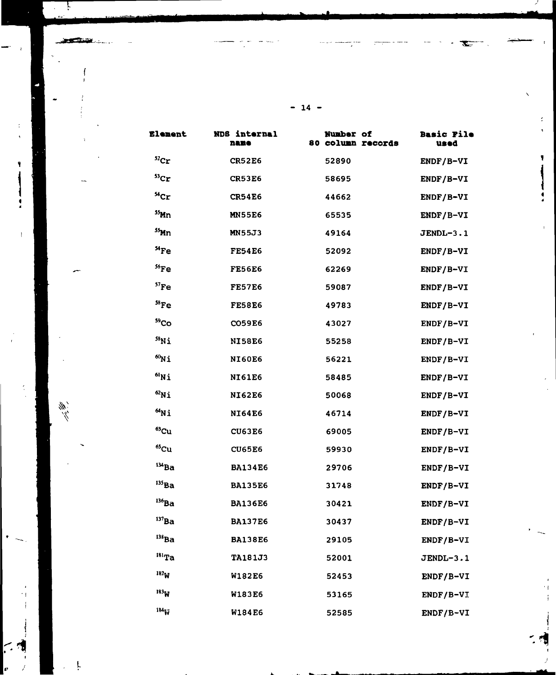| <b>Element</b>    | NDS internal<br>name | <b>Number of</b><br>80 column records | <b>Basic File</b><br>used |
|-------------------|----------------------|---------------------------------------|---------------------------|
| ${}^{52}$ Cr      | <b>CR52E6</b>        | 52890                                 | ENDF/B-VI                 |
| ${}^{53}$ Cr      | <b>CR53E6</b>        | 58695                                 | ENDF/B-VI                 |
| ${}^{54}$ Cr      | <b>CR54E6</b>        | 44662                                 | ENDF/B-VI                 |
| $55$ Mn           | <b>MN55E6</b>        | 65535                                 | ENDF/B-VI                 |
| $55$ Mn           | <b>MN55J3</b>        | 49164                                 | JENDL-3.1                 |
| $^{54}$ Fe        | <b>FE54E6</b>        | 52092                                 | ENDF/B-VI                 |
| $56$ Fe           | <b>FE56E6</b>        | 62269                                 | ENDF/B-VI                 |
| 57 <sub>Fe</sub>  | <b>FE57E6</b>        | 59087                                 | $ENDF/B-VI$               |
| $58$ Fe           | <b>FE58E6</b>        | 49783                                 | ENDF/B-VI                 |
| 59 <sub>Co</sub>  | <b>CO59E6</b>        | 43027                                 | $ENDF/B-VI$               |
| $^{58}$ Ni        | <b>NI58E6</b>        | 55258                                 | ENDF/B-VI                 |
| $^{60}$ Ni        | <b>NI60E6</b>        | 56221                                 | ENDF/B-VI                 |
| $^{61}$ Ni        | <b>NI61E6</b>        | 58485                                 | ENDF/B-VI                 |
| $62$ Ni           | <b>NI62E6</b>        | 50068                                 | $ENDF/B-VI$               |
| $^{64}$ Ni        | <b>NI64E6</b>        | 46714                                 | $ENDF/B-VI$               |
| <sup>63</sup> Cu  | <b>CU63E6</b>        | 69005                                 | ENDF/B-VI                 |
| $65Cu$            | <b>CU65E6</b>        | 59930                                 | ENDF/B-VI                 |
| $134$ Ba          | <b>BA134E6</b>       | 29706                                 | ENDF/B-VI                 |
| 135 <sub>Ba</sub> | <b>BA135E6</b>       | 31748                                 | ENDF/B-VI                 |
| $^{136}Ba$        | <b>BA136E6</b>       | 30421                                 | ENDF/B-VI                 |
| $137$ Ba          | <b>BA137E6</b>       | 30437                                 | ENDF/B-VI                 |
| $^{138}$ Ba       | <b>BA138E6</b>       | 29105                                 | ENDF/B-VI                 |
| $181$ Ta          | <b>TA181J3</b>       | 52001                                 | JENDL-3.1                 |
| 182 <sub>W</sub>  | <b>W182E6</b>        | 52453                                 | ENDF/B-VI                 |
| 183 <sub>W</sub>  | <b>W183E6</b>        | 53165                                 | ENDF/B-VI                 |
| 184 <sub>W</sub>  | <b>W184E6</b>        | 52585                                 | ENDF/B-VI                 |

**- 14 -**

ţ.

 $\frac{m}{m}$ 

r.

ø

۹

ţ

ı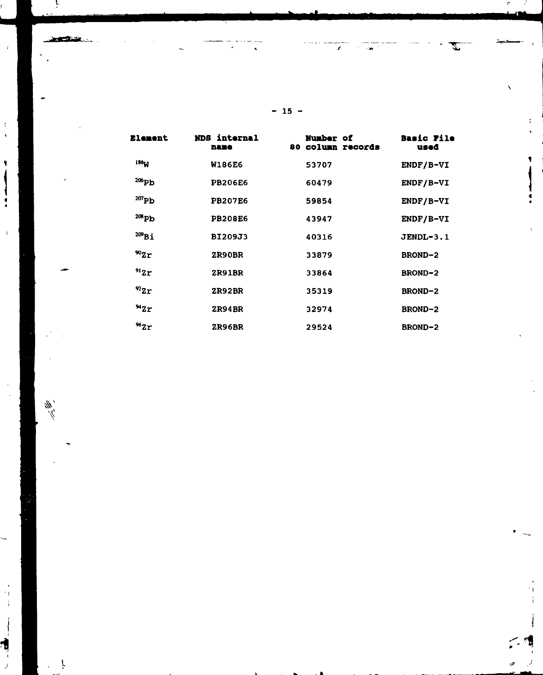| <b>Element</b>   | NDS internal<br>name | <b>Number of</b><br>80 column records | <b>Basic File</b><br>used |
|------------------|----------------------|---------------------------------------|---------------------------|
| 136 <sub>W</sub> | <b>W186E6</b>        | 53707                                 | ENDF/B-VI                 |
| 206Pb            | <b>PB206E6</b>       | 60479                                 | $ENDF/B-VI$               |
| $^{207}Pb$       | <b>PB207E6</b>       | 59854                                 | $ENDF/B-VI$               |
| $^{208}Pb$       | <b>PB208E6</b>       | 43947                                 | ENDF/B-VI                 |
| $^{209}$ Bi      | BI209J3              | 40316                                 | JENDL-3.1                 |
| $^{90}Zr$        | ZR90BR               | 33879                                 | <b>BROND-2</b>            |
| 912r             | <b>ZR91BR</b>        | 33864                                 | <b>BROND-2</b>            |
| $^{92}Zr$        | <b>ZR92BR</b>        | 35319                                 | <b>BROND-2</b>            |
| 942r             | <b>ZR94BR</b>        | 32974                                 | <b>BROND-2</b>            |
| $^{96}Zr$        | <b>ZR96BR</b>        | 29524                                 | <b>BROND-2</b>            |

**- 15 -**

 $\lambda$ 

 $\sim 20$ 

 $\overline{\phantom{a}}$ 

 $\hat{\mathbf{x}}$ 

ļ

 $\ddot{\phantom{1}}$  :

 $\begin{array}{c} 3 \\ 4 \end{array}$ 

 $\pmb{\P}$ 

 $\frac{1}{2}$ 

 $\mathbf{I}$ 

 $^\prime$  ( ÷

Έ

 $\overline{J}$ 

 $\frac{d\vec{r}}{dt}$ 

التمالي والمنازل

 $\ddot{\cdot}$ 

۷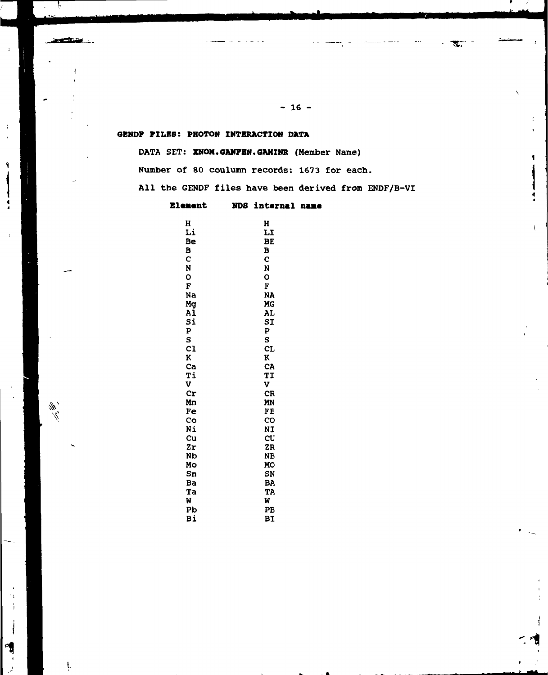## **GBNDF PILES: PHOTON INTERACTION DATA**

المستنقص

 $\frac{d\vec{r}}{dt}$ 

1

 $\ddot{\cdot}$ 

DATA SET: **XNOM.GANFEN.GAMINR** (Member Name)

Number of 80 coulumn records: 1673 for each.

All the GENDF files have been derived from ENDF/B-VI

## **Element** NDS internal name

| H  | H  |
|----|----|
| Li | LI |
| Be | BĖ |
| B  | B  |
| C  | Ċ  |
| N  | N  |
| o  | O  |
| F  | F  |
| Na | NA |
| Mg | MG |
| ΑĪ | AL |
| Si | SI |
| P  | ₽  |
| S  | S  |
| c1 | CL |
| K  | K  |
| Ca | CA |
| Ti | TI |
| V  | V  |
| Cr | CR |
| Mп | MN |
| Fe | FE |
| Co | CO |
| Νi | NI |
| Cu | CU |
| Zr | ZR |
| Nb | NB |
| Mo | MO |
| Sn | SN |
| Ba | BA |
| Ta | TA |
| W  | W  |
| Pb | PB |
| Bi | BΙ |

**- 16 -**

' "SET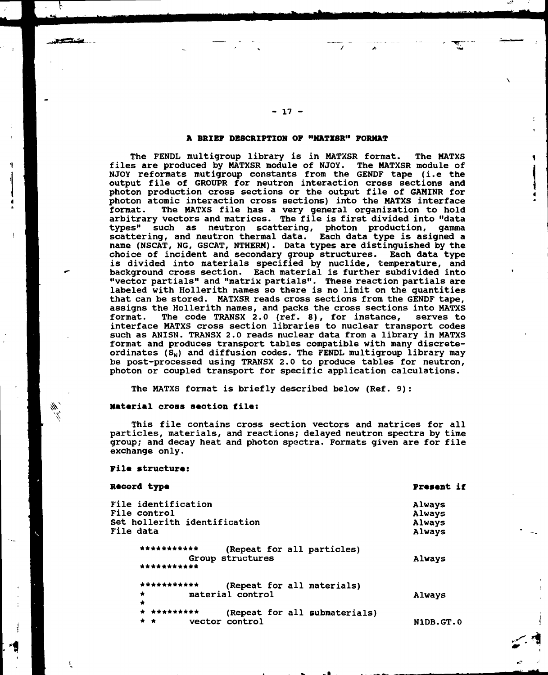## **A BRIEF DESCRIPTION OF <sup>11</sup>NATXSR" FORMAT**

The FENDL multigroup library is in MATXSR format. The MATXS files are produced by MATXSR module of NJOY. The MATXSR module of NJOY reformats mutigroup constants from the GENDF tape (i.e the output file of GROUPR for neutron interaction cross sections and photon production cross sections or the output file of GAMlNR for photon atomic interaction cross sections) into the MATXS interface The MATXS file has a very general organization to hold arbitrary vectors and matrices. The file is first divided into "data types" such as neutron scattering, photon production, gamma scattering, and neutron thermal data. Each data type is asigned a name (NSCAT, NG, GSCAT, NTHERM). Data types are distinguished by the choice of incident and secondary group structures. Each data type is divided into materials specified by nuclide, temperature, and background cross section. Each material is further subdivided into "vector partials" and "matrix partials". These reaction partials are labeled with Hollerith names so there is no limit on the quantities that can be stored. MATXSR reads cross sections from the GENDF tape, assigns the Hollerith names, and packs the cross sections into MATXS format. The code TRANSX 2.0 (ref. 8), for instance, serves to interface MATXS cross section libraries to nuclear transport codes such as ANISN. TRANSX 2.0 reads nuclear data from a library in MATXS format and produces transport tables compatible with many discreteordinates  $(S_N)$  and diffusion codes. The FENDL multigroup library may be post-processed using TRANSX 2.0 to produce tables for neutron, photon or coupled transport for specific application calculations.

The MATXS format is briefly described below (Ref. 9):

#### **Material cross section file:**

This file contains cross section vectors and matrices for all particles, materials, and reactions; delayed neutron spectra by time group; and decay heat and photon spectra. Formats given are for file exchange only.

#### **File structure:**

ţ.

| Record type                                                                             | <b>Present if</b>                    |
|-----------------------------------------------------------------------------------------|--------------------------------------|
| File identification<br>File control<br>Set hollerith identification<br>File data        | Always<br>Always<br>Always<br>Always |
| ***********<br>(Repeat for all particles)<br>Group structures<br>***********            | Always                               |
| ***********<br>(Repeat for all materials)<br>material control<br>$\bullet$<br>$\bullet$ | Always                               |
| * *********<br>(Repeat for all submaterials)<br>vector control<br>* *                   | N1DB.GT.O                            |

W • \_

**- 17 -**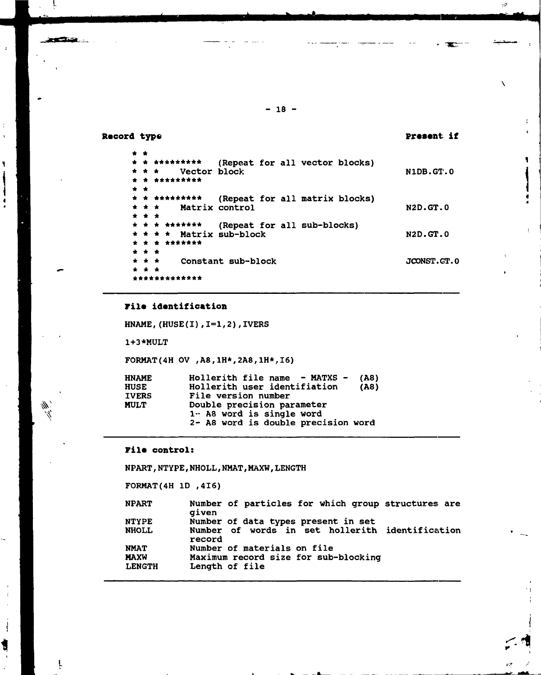## **Record type**

**SECTION** 

 $\frac{1}{2}$  $\overline{\mathbf{1}}$ 

 $\overline{\mathbf{I}}$ 

ł

 $\frac{\partial \psi}{\partial \psi}$ 

 $\mathbf{I}$ 

t

ţ,

**Present if**

 $\mathcal{O}$ 

 $\boldsymbol{\lambda}$ 

| * * |                 |                                          |                                |  |                 |
|-----|-----------------|------------------------------------------|--------------------------------|--|-----------------|
|     |                 | * *********                              | (Repeat for all vector blocks) |  |                 |
|     | $\star$ $\star$ | Vector block                             |                                |  | N1DB.GT.O       |
|     |                 | * * *********                            |                                |  |                 |
|     | * *             |                                          |                                |  |                 |
|     |                 | * * *********                            | (Repeat for all matrix blocks) |  |                 |
|     |                 | * * *                                    | Matrix control                 |  | <b>N2D.GT.0</b> |
|     | * * *           |                                          |                                |  |                 |
|     |                 | * * * *******                            | (Repeat for all sub-blocks)    |  |                 |
|     |                 | $\star$ $\star$ $\star$ Matrix sub-block |                                |  | <b>N2D.GT.0</b> |
|     |                 | * * * *******                            |                                |  |                 |
|     | * * *           |                                          |                                |  |                 |
|     | * * *           |                                          | Constant sub-block             |  | JCONST.GT.O     |
|     | * * *           |                                          |                                |  |                 |
|     |                 | ************                             |                                |  |                 |

 $- 18 -$ 

## **FiIa identification**

\*\*\*\*\*\*\*\*\*\*\*\*

HNAME, (HUSE(I), I=1,2), IVERS

1+3\*MULT

F0RMAT(4H OV ,A8,1H\*,2A8,IH\*,16)

| <b>HNAME</b> | Hollerith file name - MATXS -<br>(A8) |
|--------------|---------------------------------------|
| <b>HUSE</b>  | Hollerith user identifiation<br>(A8)  |
| <b>IVERS</b> | File version number                   |
| <b>MULT</b>  | Double precision parameter            |
|              | $1 - A8$ word is single word          |
|              | 2- A8 word is double precision word   |
|              |                                       |

### **File** control:

NPART, NTYPE, NHOLL, NMAT, MAXW, LENGTH

FORMAT(4H ID ,416)

| <b>NPART</b>                 | Number of particles for which group structures are<br>aiven |
|------------------------------|-------------------------------------------------------------|
| <b>NTYPE</b>                 | Number of data types present in set                         |
| <b>NHOLL</b>                 | Number of words in set hollerith identification<br>record   |
| <b>NMAT</b>                  | Number of materials on file                                 |
| <b>MAXW</b><br><b>LENGTH</b> | Maximum record size for sub-blocking<br>Length of file      |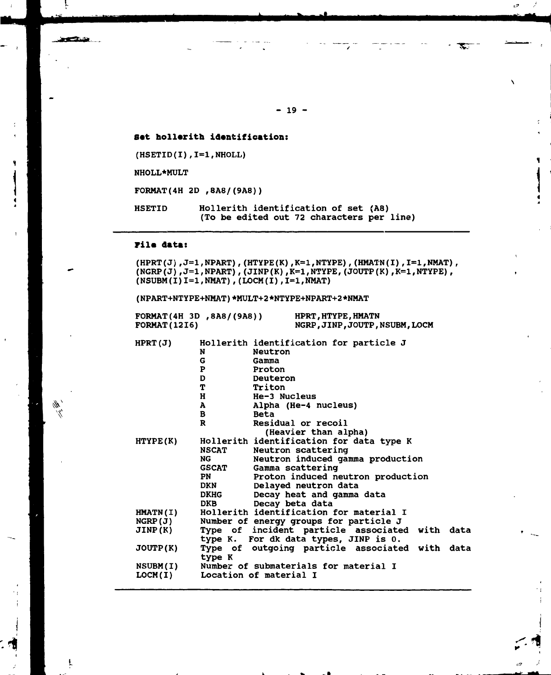**Sat hollerith identification:**

(HSETID(I),I=I,NHOLL)

NHOLL\*MULT

متحكمون

₩  $\mathbb{Z}^2$ 

ţ.

FORMAT(4H 2D ,8A8/(9A8))

HSETID Hollerith identification of set (A8) (To be edited out 72 characters per line)

#### **Vila data:**

 $(HPRT(J), J=1, NPART)$ ,  $(HTYPE(K), K=1, NTYPE)$ ,  $(HMATN(I), I=1, NMAT)$ ,  $(NGRP(J)$ ,  $J=1$ ,  $NPART$ ),  $(JIMP(K)$ ,  $K=1$ ,  $NTYPE$ ,  $(JOUP(K)$ ,  $K=1$ ,  $NTYPE)$ ,  $(NSUBM(I) I=1, NMAT)$ ,  $(LOCM(I), I=1, NMAT)$ 

( NPART+NTYPE+NMAT ) \*MULT+2 \*NTYPE+NPART+2 \*NMAT

| FORMAT(4H 3D, 8AB/(9AB))<br><b>FORMAT (1216)</b> |              | HPRT, HTYPE, HMATN<br>NGRP, JINP, JOUTP, NSUBM, LOCM |  |
|--------------------------------------------------|--------------|------------------------------------------------------|--|
| HPT(J)                                           |              | Hollerith identification for particle J              |  |
|                                                  | N            | Neutron                                              |  |
|                                                  | G            | Gamma                                                |  |
|                                                  | P            | Proton                                               |  |
|                                                  | D            | Deuteron                                             |  |
|                                                  | T            | Triton                                               |  |
|                                                  | H            | He-3 Nucleus                                         |  |
|                                                  | A            | Alpha (He-4 nucleus)                                 |  |
|                                                  | B            | <b>Beta</b>                                          |  |
|                                                  | R            | Residual or recoil                                   |  |
|                                                  |              | (Heavier than alpha)                                 |  |
| HTYPE(K)                                         |              | Hollerith identification for data type K             |  |
|                                                  | <b>NSCAT</b> | Neutron scattering                                   |  |
|                                                  | NG.          | Neutron induced gamma production                     |  |
|                                                  | <b>GSCAT</b> | Gamma scattering                                     |  |
|                                                  | <b>PN</b>    | Proton induced neutron production                    |  |
|                                                  | <b>DKN</b>   | Delayed neutron data                                 |  |
|                                                  | <b>DKHG</b>  | Decay heat and gamma data                            |  |
|                                                  | <b>DKB</b>   | Decay beta data                                      |  |
| <b>HMATN(I)</b>                                  |              | Hollerith identification for material I              |  |
| NGRP(J)                                          |              | Number of energy groups for particle J               |  |
| JINP(K)                                          |              | Type of incident particle associated with data       |  |
|                                                  |              | type K. For dk data types, JINP is 0.                |  |
| JOUP(K)                                          |              | Type of outgoing particle associated with data       |  |
|                                                  | type K       |                                                      |  |
| NSUBM(I)                                         |              | Number of submaterials for material I                |  |
|                                                  |              |                                                      |  |

LOCM(I) Location of material I

**- 19 -**

 $\mathbf{E}$ 

 $\mathbf{r}$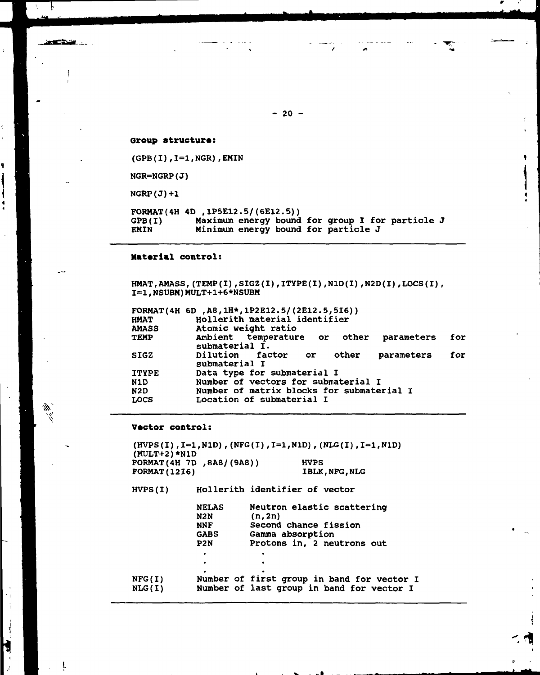**Group structura:**

 $(GPB(I), I=1, NGR)$ , EMIN

NGR=NGRP(J)

 $NGRP(J) + 1$ 

 $\mathbf{r}$ 

夢

14  $\mathbf{I}$ 

M

 $\mathcal{J}$ 

9

يحضرون

-4

FORMAT(4H 4D ,1P5E12.5/(6E12.5) ) GPB(I) Maximum energy bound for group I for particle J EMIN Minimum energy bound for particle J

#### **Material control:**

HMAT, AMASS, (TEMP(I), SIGZ(I), ITYPE(I), N1D(I), N2D(I), LOCS(I), I=I,NSUBM)MULT+1+6\*NSUBM

|              | FORMAT(4H 6D, A8, 1H*, 1P2E12.5/(2E12.5, 5I6))             |     |
|--------------|------------------------------------------------------------|-----|
| <b>HMAT</b>  | Hollerith material identifier                              |     |
| <b>AMASS</b> | Atomic weight ratio                                        |     |
| TEMP         | Ambient temperature or other parameters<br>submaterial I.  | for |
| <b>SIGZ</b>  | Dilution factor or<br>other<br>parameters<br>submaterial I | for |
| <b>ITYPE</b> | Data type for submaterial I                                |     |
| N1D          | Number of vectors for submaterial I                        |     |
| N2D          | Number of matrix blocks for submaterial I                  |     |
| <b>LOCS</b>  | Location of submaterial I                                  |     |

#### **Victor control:**

(HVPS(I),1=1,NlD) ,(NFG(I),I=1,N1D),(NLG(I),1=1,NlD) (MULT+2)\*N1D FORMAT(4H 7D , 8A8/(9A8)) HVPS<br>FORMAT(1216) HBLK IBLK, NFG, NLG

HVPS(I) Hollerith identifier of vector

|                         | <b>NELAS</b>     | Neutron elastic scattering                                                              |
|-------------------------|------------------|-----------------------------------------------------------------------------------------|
|                         | N2N              | (n, 2n)                                                                                 |
|                         | <b>NNF</b>       | Second chance fission                                                                   |
|                         | <b>GABS</b>      | Gamma absorption                                                                        |
|                         | P <sub>2</sub> N | Protons in, 2 neutrons out                                                              |
|                         | ٠                |                                                                                         |
|                         | ٠                |                                                                                         |
| NFG(I)<br><b>NLG(I)</b> |                  | Number of first group in band for vector I<br>Number of last group in band for vector I |
|                         |                  |                                                                                         |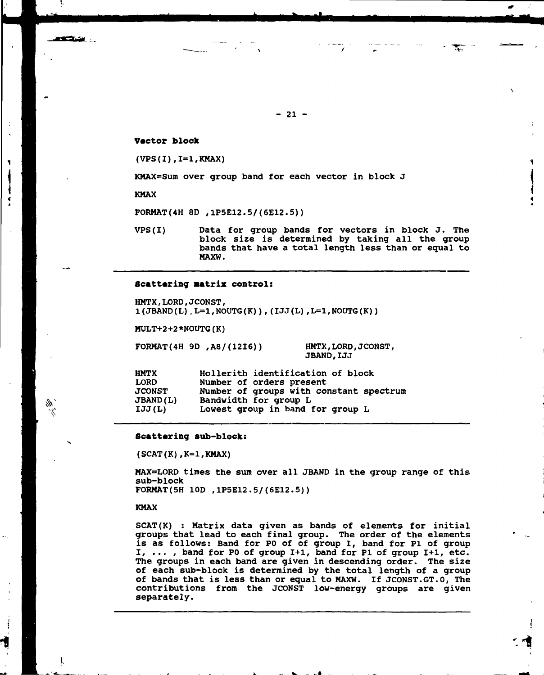#### **Vector block**

(VPS(I),1=1,KMAX)

KMAX=Sum over group band for each vector in block J

KMAX

<u>estas e</u>

111

ť

FORMAT(4H 8D ,1P5E12.5/(6E12.5) )

VPS(I) Data for group bands for vectors in block J. The block size is determined by taking all the group bands that have a total length less than or equal to MAXW.

#### **Scattering matrix control:**

HMTX,LORD,JCONST,  $1(JBAND(L)$ . L=1, NOUTG(K)), (IJJ(L), L=1, NOUTG(K))

MULT+2+2\*NOUTG(K)

F0RMAT(4H 9D ,A8/(12I6)) HMTX,LORD,JCONST,

JBAND,IJJ

HMTX Hollerith identification of block Number of orders present JCONST Number of groups with constant spectrum Bandwidth for group L IJJ(L) Lowest group in band for group L

#### **Scattering sub-block:**

 $(SCAT(K), K=1, KMAX)$ 

MAX=LORD times the sum over all JBAND in the group range of this sub-block F0RMAT(5H 1OD ,1P5E12.5/(6E12.5))

KMAX

SCAT(K) : Matrix data given as bands of elements for initial groups that lead to each final group. The order of the elements is as follows: Band for PO of of group I, band for Pl of group I, ... , band for PO of group 1+1, band for Pl of group 1+1, etc. The groups in each band are given in descending order. The size of each sub-block is determined by the total length of a group of bands that is less than or equal to MAXW. If JCONST.GT.0, The contributions from the JCONST low-energy groups are given separately.

**- 21 -**